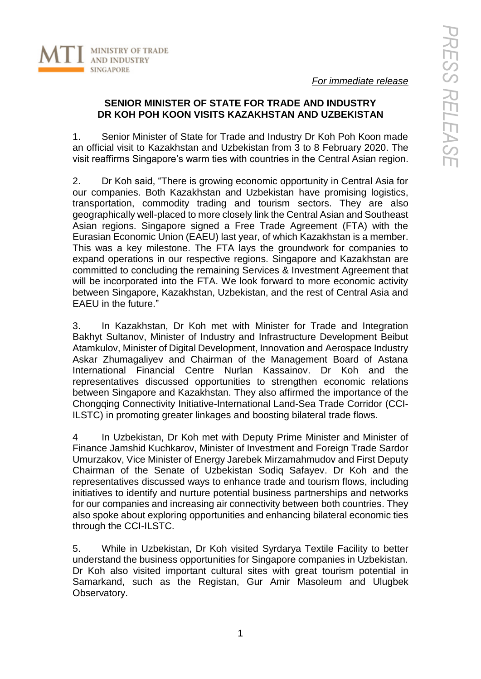

*For immediate release*

## **SENIOR MINISTER OF STATE FOR TRADE AND INDUSTRY DR KOH POH KOON VISITS KAZAKHSTAN AND UZBEKISTAN**

1. Senior Minister of State for Trade and Industry Dr Koh Poh Koon made an official visit to Kazakhstan and Uzbekistan from 3 to 8 February 2020. The visit reaffirms Singapore's warm ties with countries in the Central Asian region.

2. Dr Koh said, "There is growing economic opportunity in Central Asia for our companies. Both Kazakhstan and Uzbekistan have promising logistics, transportation, commodity trading and tourism sectors. They are also geographically well-placed to more closely link the Central Asian and Southeast Asian regions. Singapore signed a Free Trade Agreement (FTA) with the Eurasian Economic Union (EAEU) last year, of which Kazakhstan is a member. This was a key milestone. The FTA lays the groundwork for companies to expand operations in our respective regions. Singapore and Kazakhstan are committed to concluding the remaining Services & Investment Agreement that will be incorporated into the FTA. We look forward to more economic activity between Singapore, Kazakhstan, Uzbekistan, and the rest of Central Asia and EAEU in the future."

3. In Kazakhstan, Dr Koh met with Minister for Trade and Integration Bakhyt Sultanov, Minister of Industry and Infrastructure Development Beibut Atamkulov, Minister of Digital Development, Innovation and Aerospace Industry Askar Zhumagaliyev and Chairman of the Management Board of Astana International Financial Centre Nurlan Kassainov. Dr Koh and the representatives discussed opportunities to strengthen economic relations between Singapore and Kazakhstan. They also affirmed the importance of the Chongqing Connectivity Initiative-International Land-Sea Trade Corridor (CCI-ILSTC) in promoting greater linkages and boosting bilateral trade flows.

4 In Uzbekistan, Dr Koh met with Deputy Prime Minister and Minister of Finance Jamshid Kuchkarov, Minister of Investment and Foreign Trade Sardor Umurzakov, Vice Minister of Energy Jarebek Mirzamahmudov and First Deputy Chairman of the Senate of Uzbekistan Sodiq Safayev. Dr Koh and the representatives discussed ways to enhance trade and tourism flows, including initiatives to identify and nurture potential business partnerships and networks for our companies and increasing air connectivity between both countries. They also spoke about exploring opportunities and enhancing bilateral economic ties through the CCI-ILSTC.

5. While in Uzbekistan, Dr Koh visited Syrdarya Textile Facility to better understand the business opportunities for Singapore companies in Uzbekistan. Dr Koh also visited important cultural sites with great tourism potential in Samarkand, such as the Registan, Gur Amir Masoleum and Ulugbek Observatory.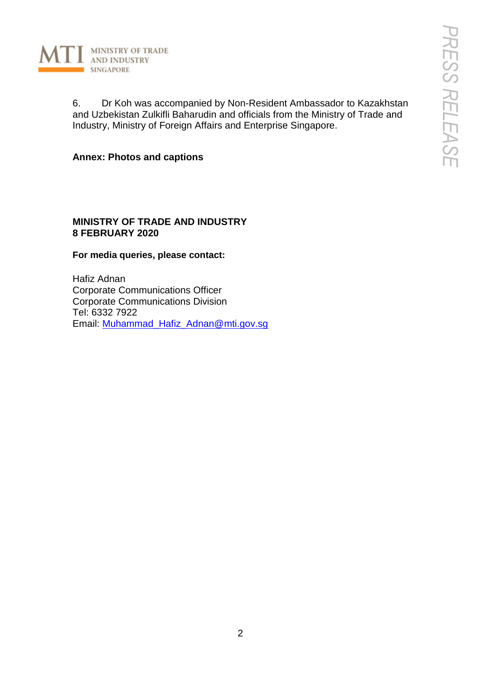

6. Dr Koh was accompanied by Non-Resident Ambassador to Kazakhstan and Uzbekistan Zulkifli Baharudin and officials from the Ministry of Trade and Industry, Ministry of Foreign Affairs and Enterprise Singapore.

**Annex: Photos and captions**

## **MINISTRY OF TRADE AND INDUSTRY 8 FEBRUARY 2020**

## **For media queries, please contact:**

Hafiz Adnan Corporate Communications Officer Corporate Communications Division Tel: 6332 7922 Email: [Muhammad\\_Hafiz\\_Adnan@mti.gov.sg](mailto:Muhammad_Hafiz_Adnan@mti.gov.sg)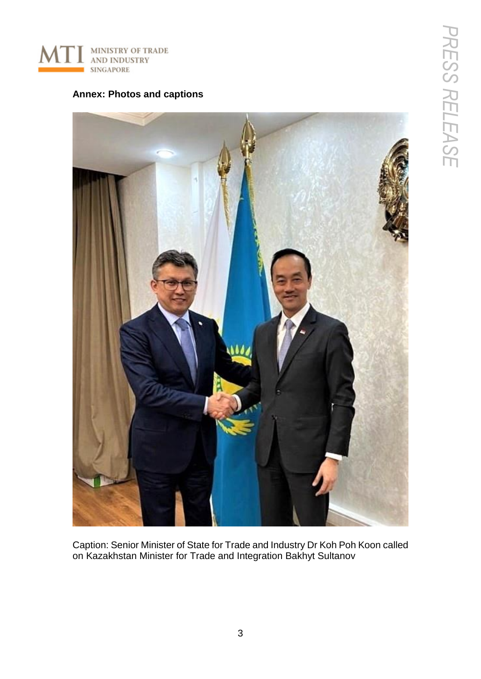

## **Annex: Photos and captions**



Caption: Senior Minister of State for Trade and Industry Dr Koh Poh Koon called on Kazakhstan Minister for Trade and Integration Bakhyt Sultanov